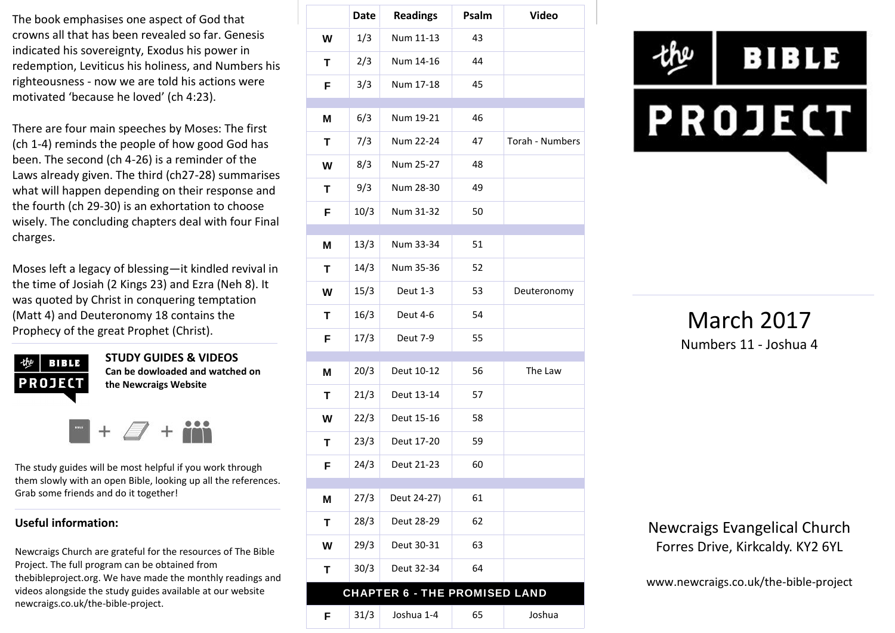The book emphasises one aspect of God that crowns all that has been revealed so far. Genesis indicated his sovereignty, Exodus his power in redemption, Leviticus his holiness, and Numbers his righteousness - now we are told his actions were motivated 'because he loved' (ch 4:23).

There are four main speeches by Moses: The first (ch 1-4) reminds the people of how good God has been. The second (ch 4-26) is a reminder of the Laws already given. The third (ch27-28) summarises what will happen depending on their response and the fourth (ch 29-30) is an exhortation to choose wisely. The concluding chapters deal with four Final charges.

Moses left a legacy of blessing—it kindled revival in the time of Josiah (2 Kings 23) and Ezra (Neh 8). It was quoted by Christ in conquering temptation (Matt 4) and Deuteronomy 18 contains the Prophecy of the great Prophet (Christ).

**BIBLE PROJECT**  **STUDY GUIDES & VIDEOS Can be dowloaded and watched on the Newcraigs Website**

The study guides will be most helpful if you work through them slowly with an open Bible, looking up all the references. Grab some friends and do it together!

#### **Useful information:**

Newcraigs Church are grateful for the resources of The Bible Project. The full program can be obtained from thebibleproject.org. We have made the monthly readings and videos alongside the study guides available at our website newcraigs.co.uk/the-bible-project.

|   | <b>Date</b> | <b>Readings</b>                      | Psalm | <b>Video</b>    |
|---|-------------|--------------------------------------|-------|-----------------|
| W | 1/3         | Num 11-13                            | 43    |                 |
| Τ | 2/3         | Num 14-16                            | 44    |                 |
| F | 3/3         | Num 17-18                            | 45    |                 |
| M | 6/3         | Num 19-21                            | 46    |                 |
|   |             |                                      |       |                 |
| Τ | 7/3         | Num 22-24                            | 47    | Torah - Numbers |
| W | 8/3         | Num 25-27                            | 48    |                 |
| T | 9/3         | Num 28-30                            | 49    |                 |
| F | 10/3        | Num 31-32                            | 50    |                 |
| M | 13/3        | Num 33-34                            | 51    |                 |
| т | 14/3        | Num 35-36                            | 52    |                 |
| W | 15/3        | Deut 1-3                             | 53    | Deuteronomy     |
| т | 16/3        | Deut 4-6                             | 54    |                 |
| F | 17/3        | Deut 7-9                             | 55    |                 |
| M | 20/3        | Deut 10-12                           | 56    | The Law         |
| T | 21/3        | Deut 13-14                           | 57    |                 |
| W | 22/3        | Deut 15-16                           | 58    |                 |
| Τ | 23/3        | Deut 17-20                           | 59    |                 |
| F | 24/3        | Deut 21-23                           | 60    |                 |
|   | 27/3        | Deut 24-27)                          | 61    |                 |
| M |             |                                      |       |                 |
| T | 28/3        | Deut 28-29                           | 62    |                 |
| W | 29/3        | Deut 30-31                           | 63    |                 |
| Τ | 30/3        | Deut 32-34                           | 64    |                 |
|   |             | <b>CHAPTER 6 - THE PROMISED LAND</b> |       |                 |
| F | 31/3        | Joshua 1-4                           | 65    | Joshua          |



March 2017 Numbers 11 - Joshua 4

Newcraigs Evangelical Church Forres Drive, Kirkcaldy. KY2 6YL

www.newcraigs.co.uk/the-bible-project